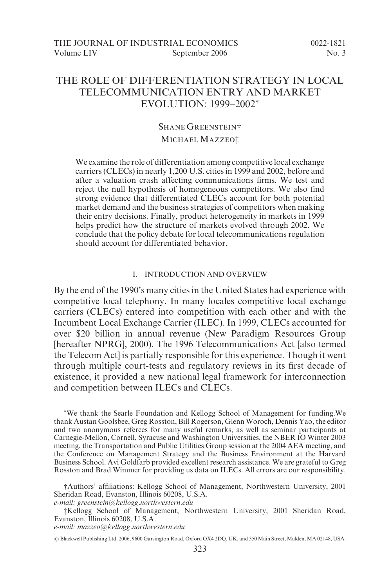# THE ROLE OF DIFFERENTIATION STRATEGY IN LOCAL TELECOMMUNICATION ENTRY AND MARKET EVOLUTION: 1999–2002

# SHANE GREENSTEINT MICHAEL MAZZEO<sup>+</sup>

We examine the role of differentiation among competitive local exchange carriers (CLECs) in nearly 1,200 U.S. cities in 1999 and 2002, before and after a valuation crash affecting communications firms. We test and reject the null hypothesis of homogeneous competitors. We also find strong evidence that differentiated CLECs account for both potential market demand and the business strategies of competitors when making their entry decisions. Finally, product heterogeneity in markets in 1999 helps predict how the structure of markets evolved through 2002. We conclude that the policy debate for local telecommunications regulation should account for differentiated behavior.

#### I. INTRODUCTION AND OVERVIEW

By the end of the 1990's many cities in the United States had experience with competitive local telephony. In many locales competitive local exchange carriers (CLECs) entered into competition with each other and with the Incumbent Local Exchange Carrier (ILEC). In 1999, CLECs accounted for over \$20 billion in annual revenue (New Paradigm Resources Group [hereafter NPRG], 2000). The 1996 Telecommunications Act [also termed the Telecom Act] is partially responsible for this experience. Though it went through multiple court-tests and regulatory reviews in its first decade of existence, it provided a new national legal framework for interconnection and competition between ILECs and CLECs.

 We thank the Searle Foundation and Kellogg School of Management for funding.We thank Austan Goolsbee, Greg Rosston, Bill Rogerson, Glenn Woroch, Dennis Yao, the editor and two anonymous referees for many useful remarks, as well as seminar participants at Carnegie-Mellon, Cornell, Syracuse and Washington Universities, the NBER IO Winter 2003 meeting, the Transportation and Public Utilities Group session at the 2004 AEA meeting, and the Conference on Management Strategy and the Business Environment at the Harvard Business School. Avi Goldfarb provided excellent research assistance. We are grateful to Greg Rosston and Brad Wimmer for providing us data on ILECs. All errors are our responsibility.

†Authors' affiliations: Kellogg School of Management, Northwestern University, 2001 Sheridan Road, Evanston, Illinois 60208, U.S.A.

e-mail: greenstein@kellogg.northwestern.edu

zKellogg School of Management, Northwestern University, 2001 Sheridan Road, Evanston, Illinois 60208, U.S.A.

e-mail: mazzeo@kellogg.northwestern.edu

r Blackwell Publishing Ltd. 2006, 9600 Garsington Road, Oxford OX4 2DQ, UK, and 350 Main Street, Malden, MA 02148, USA.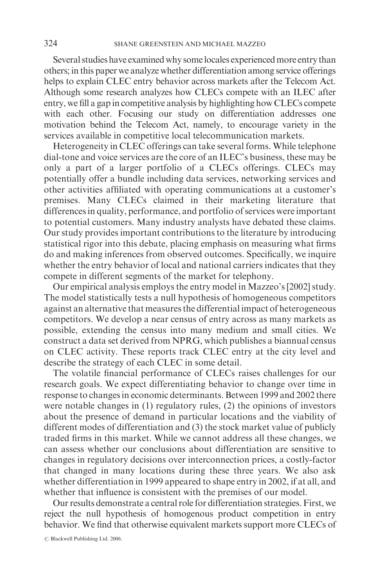Several studies have examined why some locales experienced more entry than others; in this paper we analyze whether differentiation among service offerings helps to explain CLEC entry behavior across markets after the Telecom Act. Although some research analyzes how CLECs compete with an ILEC after entry, we fill a gap in competitive analysis by highlighting how CLECs compete with each other. Focusing our study on differentiation addresses one motivation behind the Telecom Act, namely, to encourage variety in the services available in competitive local telecommunication markets.

Heterogeneity in CLEC offerings can take several forms. While telephone dial-tone and voice services are the core of an ILEC's business, these may be only a part of a larger portfolio of a CLECs offerings. CLECs may potentially offer a bundle including data services, networking services and other activities affiliated with operating communications at a customer's premises. Many CLECs claimed in their marketing literature that differences in quality, performance, and portfolio of services were important to potential customers. Many industry analysts have debated these claims. Our study provides important contributions to the literature by introducing statistical rigor into this debate, placing emphasis on measuring what firms do and making inferences from observed outcomes. Specifically, we inquire whether the entry behavior of local and national carriers indicates that they compete in different segments of the market for telephony.

Our empirical analysis employs the entry model in Mazzeo's [2002] study. The model statistically tests a null hypothesis of homogeneous competitors against an alternative that measures the differential impact of heterogeneous competitors. We develop a near census of entry across as many markets as possible, extending the census into many medium and small cities. We construct a data set derived from NPRG, which publishes a biannual census on CLEC activity. These reports track CLEC entry at the city level and describe the strategy of each CLEC in some detail.

The volatile financial performance of CLECs raises challenges for our research goals. We expect differentiating behavior to change over time in response to changes in economic determinants. Between 1999 and 2002 there were notable changes in (1) regulatory rules, (2) the opinions of investors about the presence of demand in particular locations and the viability of different modes of differentiation and (3) the stock market value of publicly traded firms in this market. While we cannot address all these changes, we can assess whether our conclusions about differentiation are sensitive to changes in regulatory decisions over interconnection prices, a costly-factor that changed in many locations during these three years. We also ask whether differentiation in 1999 appeared to shape entry in 2002, if at all, and whether that influence is consistent with the premises of our model.

Our results demonstrate a central role for differentiation strategies. First, we reject the null hypothesis of homogenous product competition in entry behavior. We find that otherwise equivalent markets support more CLECs of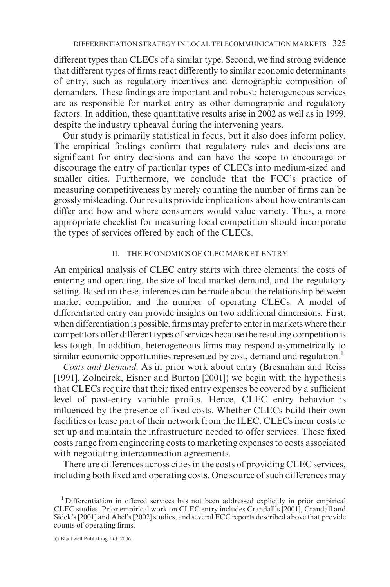different types than CLECs of a similar type. Second, we find strong evidence that different types of firms react differently to similar economic determinants of entry, such as regulatory incentives and demographic composition of demanders. These findings are important and robust: heterogeneous services are as responsible for market entry as other demographic and regulatory factors. In addition, these quantitative results arise in 2002 as well as in 1999, despite the industry upheaval during the intervening years.

Our study is primarily statistical in focus, but it also does inform policy. The empirical findings confirm that regulatory rules and decisions are significant for entry decisions and can have the scope to encourage or discourage the entry of particular types of CLECs into medium-sized and smaller cities. Furthermore, we conclude that the FCC's practice of measuring competitiveness by merely counting the number of firms can be grossly misleading. Our results provide implications about how entrants can differ and how and where consumers would value variety. Thus, a more appropriate checklist for measuring local competition should incorporate the types of services offered by each of the CLECs.

# II. THE ECONOMICS OF CLEC MARKET ENTRY

An empirical analysis of CLEC entry starts with three elements: the costs of entering and operating, the size of local market demand, and the regulatory setting. Based on these, inferences can be made about the relationship between market competition and the number of operating CLECs. A model of differentiated entry can provide insights on two additional dimensions. First, when differentiation is possible, firms may prefer to enter in markets where their competitors offer different types of services because the resulting competition is less tough. In addition, heterogeneous firms may respond asymmetrically to similar economic opportunities represented by cost, demand and regulation.<sup>1</sup>

Costs and Demand: As in prior work about entry (Bresnahan and Reiss [1991], Zolneirek, Eisner and Burton [2001]) we begin with the hypothesis that CLECs require that their fixed entry expenses be covered by a sufficient level of post-entry variable profits. Hence, CLEC entry behavior is influenced by the presence of fixed costs. Whether CLECs build their own facilities or lease part of their network from the ILEC, CLECs incur costs to set up and maintain the infrastructure needed to offer services. These fixed costs range from engineering costs to marketing expenses to costs associated with negotiating interconnection agreements.

There are differences across cities in the costs of providing CLEC services, including both fixed and operating costs. One source of such differences may

<sup>&</sup>lt;sup>1</sup> Differentiation in offered services has not been addressed explicitly in prior empirical CLEC studies. Prior empirical work on CLEC entry includes Crandall's [2001], Crandall and Sidek's [2001] and Abel's [2002] studies, and several FCC reports described above that provide counts of operating firms.

 $\circ$  Blackwell Publishing Ltd. 2006.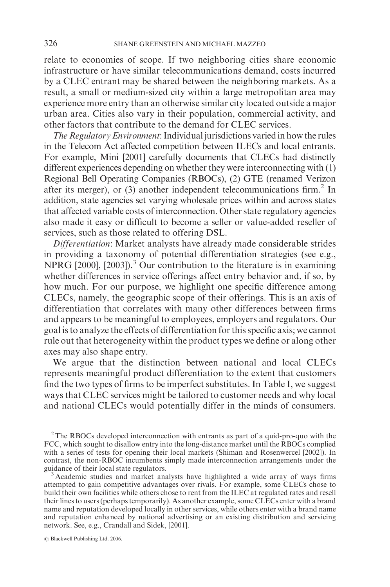relate to economies of scope. If two neighboring cities share economic infrastructure or have similar telecommunications demand, costs incurred by a CLEC entrant may be shared between the neighboring markets. As a result, a small or medium-sized city within a large metropolitan area may experience more entry than an otherwise similar city located outside a major urban area. Cities also vary in their population, commercial activity, and other factors that contribute to the demand for CLEC services.

The Regulatory Environment: Individual jurisdictions varied in how the rules in the Telecom Act affected competition between ILECs and local entrants. For example, Mini [2001] carefully documents that CLECs had distinctly different experiences depending on whether they were interconnecting with (1) Regional Bell Operating Companies (RBOCs), (2) GTE (renamed Verizon after its merger), or  $(3)$  another independent telecommunications firm.<sup>2</sup> In addition, state agencies set varying wholesale prices within and across states that affected variable costs of interconnection. Other state regulatory agencies also made it easy or difficult to become a seller or value-added reseller of services, such as those related to offering DSL.

Differentiation: Market analysts have already made considerable strides in providing a taxonomy of potential differentiation strategies (see e.g.,  $NPRG$  [2000], [2003]).<sup>3</sup> Our contribution to the literature is in examining whether differences in service offerings affect entry behavior and, if so, by how much. For our purpose, we highlight one specific difference among CLECs, namely, the geographic scope of their offerings. This is an axis of differentiation that correlates with many other differences between firms and appears to be meaningful to employees, employers and regulators. Our goal is to analyze the effects of differentiation for this specific axis; we cannot rule out that heterogeneity within the product types we define or along other axes may also shape entry.

We argue that the distinction between national and local CLECs represents meaningful product differentiation to the extent that customers find the two types of firms to be imperfect substitutes. In Table I, we suggest ways that CLEC services might be tailored to customer needs and why local and national CLECs would potentially differ in the minds of consumers.

Academic studies and market analysts have highlighted a wide array of ways firms attempted to gain competitive advantages over rivals. For example, some CLECs chose to build their own facilities while others chose to rent from the ILEC at regulated rates and resell their lines to users (perhaps temporarily). As another example, some CLECs enter with a brand name and reputation developed locally in other services, while others enter with a brand name and reputation enhanced by national advertising or an existing distribution and servicing network. See, e.g., Crandall and Sidek, [2001].

<sup>&</sup>lt;sup>2</sup>The RBOCs developed interconnection with entrants as part of a quid-pro-quo with the FCC, which sought to disallow entry into the long-distance market until the RBOCs complied with a series of tests for opening their local markets (Shiman and Rosenwercel [2002]). In contrast, the non-RBOC incumbents simply made interconnection arrangements under the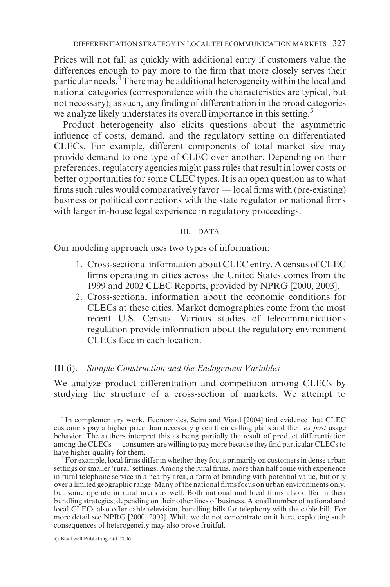Prices will not fall as quickly with additional entry if customers value the differences enough to pay more to the firm that more closely serves their particular needs.<sup>4</sup> There may be additional heterogeneity within the local and national categories (correspondence with the characteristics are typical, but not necessary); as such, any finding of differentiation in the broad categories we analyze likely understates its overall importance in this setting.<sup>5</sup>

Product heterogeneity also elicits questions about the asymmetric influence of costs, demand, and the regulatory setting on differentiated CLECs. For example, different components of total market size may provide demand to one type of CLEC over another. Depending on their preferences, regulatory agencies might pass rules that result in lower costs or better opportunities for some CLEC types. It is an open question as to what firms such rules would comparatively favor  $-\text{local firms with (pre-existing)}$ business or political connections with the state regulator or national firms with larger in-house legal experience in regulatory proceedings.

# III. DATA

Our modeling approach uses two types of information:

- 1. Cross-sectional information about CLEC entry. A census of CLEC firms operating in cities across the United States comes from the 1999 and 2002 CLEC Reports, provided by NPRG [2000, 2003].
- 2. Cross-sectional information about the economic conditions for CLECs at these cities. Market demographics come from the most recent U.S. Census. Various studies of telecommunications regulation provide information about the regulatory environment CLECs face in each location.

### III (i). Sample Construction and the Endogenous Variables

We analyze product differentiation and competition among CLECs by studying the structure of a cross-section of markets. We attempt to

<sup>4</sup> In complementary work, Economides, Seim and Viard [2004] find evidence that CLEC customers pay a higher price than necessary given their calling plans and their  $ex$  post usage behavior. The authors interpret this as being partially the result of product differentiation among the CLECs  $-$  consumers are willing to pay more because they find particular CLECs to have higher quality for them.

 $\frac{5}{5}$  For example, local firms differ in whether they focus primarily on customers in dense urban settings or smaller 'rural' settings. Among the rural firms, more than half come with experience in rural telephone service in a nearby area, a form of branding with potential value, but only over a limited geographic range. Many of the national firms focus on urban environments only, but some operate in rural areas as well. Both national and local firms also differ in their bundling strategies, depending on their other lines of business. A small number of national and local CLECs also offer cable television, bundling bills for telephony with the cable bill. For more detail see NPRG [2000, 2003]. While we do not concentrate on it here, exploiting such consequences of heterogeneity may also prove fruitful.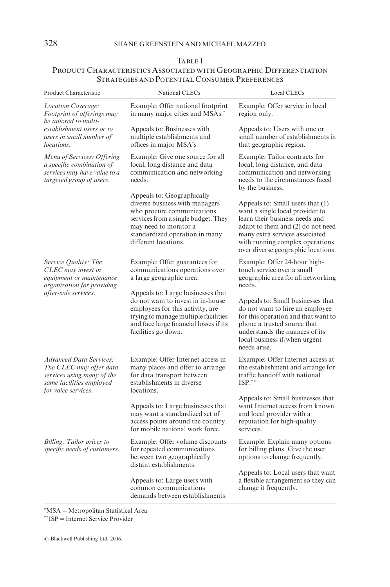| Product Characteristic                                                                                                                     | National CLECs                                                                                                                                                                                                       | <b>Local CLECs</b>                                                                                                                                                                                                                                    |
|--------------------------------------------------------------------------------------------------------------------------------------------|----------------------------------------------------------------------------------------------------------------------------------------------------------------------------------------------------------------------|-------------------------------------------------------------------------------------------------------------------------------------------------------------------------------------------------------------------------------------------------------|
| Location Coverage:<br>Footprint of offerings may<br>be tailored to multi-                                                                  | Example: Offer national footprint<br>in many major cities and MSAs. <sup>*</sup>                                                                                                                                     | Example: Offer service in local<br>region only.                                                                                                                                                                                                       |
| establishment users or to<br>users in small number of<br>locations.                                                                        | Appeals to: Businesses with<br>multiple establishments and<br>offices in major MSA's                                                                                                                                 | Appeals to: Users with one or<br>small number of establishments in<br>that geographic region.                                                                                                                                                         |
| Menu of Services: Offering<br>a specific combination of<br>services may have value to a<br>targeted group of users.                        | Example: Give one source for all<br>local, long distance and data<br>communication and networking<br>needs                                                                                                           | Example: Tailor contracts for<br>local, long distance, and data<br>communication and networking<br>needs to the circumstances faced<br>by the business.                                                                                               |
|                                                                                                                                            | Appeals to: Geographically<br>diverse business with managers<br>who procure communications<br>services from a single budget. They<br>may need to monitor a<br>standardized operation in many<br>different locations. | Appeals to: Small users that (1)<br>want a single local provider to<br>learn their business needs and<br>adapt to them and (2) do not need<br>many extra services associated<br>with running complex operations<br>over diverse geographic locations. |
| Service Quality: The<br>CLEC may invest in<br>equipment or maintenance<br>organization for providing                                       | Example: Offer guarantees for<br>communications operations over<br>a large geographic area.                                                                                                                          | Example: Offer 24-hour high-<br>touch service over a small<br>geographic area for all networking<br>needs.                                                                                                                                            |
| after-sale services.                                                                                                                       | Appeals to: Large businesses that<br>do not want to invest in in-house<br>employees for this activity, are<br>trying to manage multiple facilities<br>and face large financial losses if its<br>facilities go down.  | Appeals to: Small businesses that<br>do not want to hire an employee<br>for this operation and that want to<br>phone a trusted source that<br>understands the nuances of its<br>local business if/when urgent<br>needs arise                          |
| <b>Advanced Data Services:</b><br>The CLEC may offer data<br>services using many of the<br>same facilities employed<br>for voice services. | Example: Offer Internet access in<br>many places and offer to arrange<br>for data transport between<br>establishments in diverse<br>locations.                                                                       | Example: Offer Internet access at<br>the establishment and arrange for<br>traffic handoff with national<br>$ISP.***$                                                                                                                                  |
|                                                                                                                                            | Appeals to: Large businesses that<br>may want a standardized set of<br>access points around the country<br>for mobile national work force.                                                                           | Appeals to: Small businesses that<br>want Internet access from known<br>and local provider with a<br>reputation for high-quality<br>services.                                                                                                         |
| Billing: Tailor prices to<br>specific needs of customers.                                                                                  | Example: Offer volume discounts<br>for repeated communications<br>between two geographically<br>distant establishments.                                                                                              | Example: Explain many options<br>for billing plans. Give the user<br>options to change frequently.                                                                                                                                                    |
|                                                                                                                                            | Appeals to: Large users with<br>common communications<br>demands between establishments.                                                                                                                             | Appeals to: Local users that want<br>a flexible arrangement so they can<br>change it frequently.                                                                                                                                                      |

#### TABLE I Product Characteristics Associated with Geographic Differentiation Strategies and Potential Consumer Preferences

\*MSA = Metropolitan Statistical Area

\*\*ISP = Internet Service Provider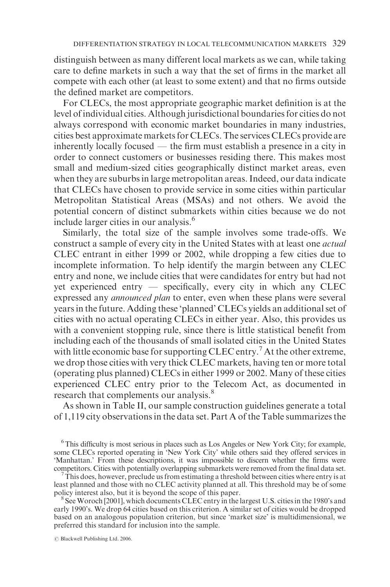distinguish between as many different local markets as we can, while taking care to define markets in such a way that the set of firms in the market all compete with each other (at least to some extent) and that no firms outside the defined market are competitors.

For CLECs, the most appropriate geographic market definition is at the level of individual cities. Although jurisdictional boundaries for cities do not always correspond with economic market boundaries in many industries, cities best approximate markets for CLECs. The services CLECs provide are inherently locally focused  $-$  the firm must establish a presence in a city in order to connect customers or businesses residing there. This makes most small and medium-sized cities geographically distinct market areas, even when they are suburbs in large metropolitan areas. Indeed, our data indicate that CLECs have chosen to provide service in some cities within particular Metropolitan Statistical Areas (MSAs) and not others. We avoid the potential concern of distinct submarkets within cities because we do not include larger cities in our analysis.<sup>6</sup>

Similarly, the total size of the sample involves some trade-offs. We construct a sample of every city in the United States with at least one actual CLEC entrant in either 1999 or 2002, while dropping a few cities due to incomplete information. To help identify the margin between any CLEC entry and none, we include cities that were candidates for entry but had not yet experienced entry  $-$  specifically, every city in which any CLEC expressed any *announced plan* to enter, even when these plans were several years in the future. Adding these 'planned' CLECs yields an additional set of cities with no actual operating CLECs in either year. Also, this provides us with a convenient stopping rule, since there is little statistical benefit from including each of the thousands of small isolated cities in the United States with little economic base for supporting  $CLEC$  entry.<sup>7</sup> At the other extreme, we drop those cities with very thick CLEC markets, having ten or more total (operating plus planned) CLECs in either 1999 or 2002. Many of these cities experienced CLEC entry prior to the Telecom Act, as documented in research that complements our analysis.<sup>8</sup>

As shown in Table II, our sample construction guidelines generate a total of 1,119 city observations in the data set. Part A of the Table summarizes the

6This difficulty is most serious in places such as Los Angeles or New York City; for example, some CLECs reported operating in 'New York City' while others said they offered services in 'Manhattan.' From these descriptions, it was impossible to discern whether the firms were

 $\overline{7}$ This does, however, preclude us from estimating a threshold between cities where entry is at least planned and those with no CLEC activity planned at all. This threshold may be of some

 $8$  See Woroch [2001], which documents CLEC entry in the largest U.S. cities in the 1980's and early 1990's. We drop 64 cities based on this criterion. A similar set of cities would be dropped based on an analogous population criterion, but since 'market size' is multidimensional, we preferred this standard for inclusion into the sample.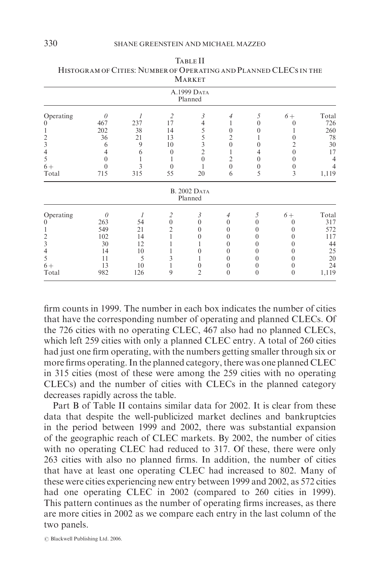|                               |                 |               |                      | <b>NARKET</b>                  |               |                      |                      |                 |
|-------------------------------|-----------------|---------------|----------------------|--------------------------------|---------------|----------------------|----------------------|-----------------|
| <b>A.1999 DATA</b><br>Planned |                 |               |                      |                                |               |                      |                      |                 |
| Operating<br>$\theta$         | $\theta$<br>467 | 237           | $\overline{c}$<br>17 | 3<br>4                         | 4             | 5<br>0               | $6+$                 | Total<br>726    |
| $\overline{c}$<br>3           | 202<br>36<br>6  | 38<br>21<br>9 | 14<br>13<br>10       | 5<br>5<br>3                    | 2<br>0        | $\Omega$<br>$\Omega$ | 2                    | 260<br>78<br>30 |
| $\overline{4}$<br>5           | 4<br>$\Omega$   | 6             | 0                    | $\overline{c}$<br>$\Omega$     | 2             | 4<br>$\Omega$        | $\Omega$<br>$\Omega$ | 17<br>4         |
| $6+$<br>Total                 | 715             | 3<br>315      | 0<br>55              | 20                             | $\theta$<br>6 | $\Omega$<br>5        | $\Omega$<br>3        | 4<br>1,119      |
|                               |                 |               |                      | <b>B. 2002 DATA</b><br>Planned |               |                      |                      |                 |
| Operating                     | 0               |               | $\overline{2}$       | 3                              | 4             | 5                    | $6+$                 | Total           |
| $\mathbf{0}$                  | 263             | 54            | $\mathbf{0}$         |                                | $\theta$      | $\Omega$             | $\theta$             | 317             |
|                               | 549             | 21            | 2                    |                                | 0             | $^{()}$              | 0                    | 572             |
| $\overline{2}$<br>3           | 102<br>30       | 14<br>12      |                      |                                | 0<br>0        | $^{()}$<br>0         | $^{(1)}$             | 117<br>44       |
| $\overline{4}$                | 14              | 10            |                      |                                | 0             | $^{()}$              |                      | 25              |
| 5                             | 11              | 5             | 3                    |                                | 0             | $^{()}$              |                      | 20              |
| $6+$                          | 13              | 10            |                      |                                | 0             | $\Omega$             | 0                    | 24              |
| Total                         | 982             | 126           | 9                    | 2                              | 0             | 0                    | 0                    | 1,119           |

**TABLE II** Histogram of Cities: Number of Operating and Planned CLECs in the Market

firm counts in 1999. The number in each box indicates the number of cities that have the corresponding number of operating and planned CLECs. Of the 726 cities with no operating CLEC, 467 also had no planned CLECs, which left 259 cities with only a planned CLEC entry. A total of 260 cities had just one firm operating, with the numbers getting smaller through six or more firms operating. In the planned category, there was one planned CLEC in 315 cities (most of these were among the 259 cities with no operating CLECs) and the number of cities with CLECs in the planned category decreases rapidly across the table.

Part B of Table II contains similar data for 2002. It is clear from these data that despite the well-publicized market declines and bankruptcies in the period between 1999 and 2002, there was substantial expansion of the geographic reach of CLEC markets. By 2002, the number of cities with no operating CLEC had reduced to 317. Of these, there were only 263 cities with also no planned firms. In addition, the number of cities that have at least one operating CLEC had increased to 802. Many of these were cities experiencing new entry between 1999 and 2002, as 572 cities had one operating CLEC in 2002 (compared to 260 cities in 1999). This pattern continues as the number of operating firms increases, as there are more cities in 2002 as we compare each entry in the last column of the two panels.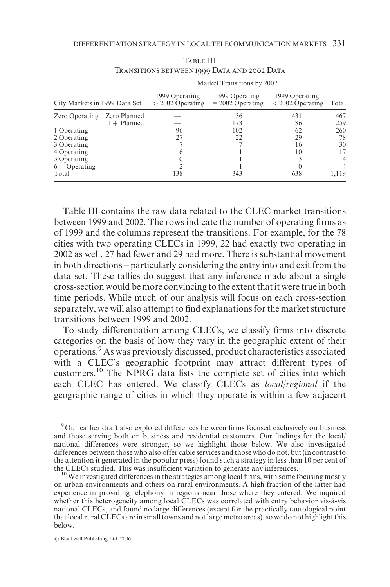|                               |               | Market Transitions by 2002           |                                      |                                      |       |  |
|-------------------------------|---------------|--------------------------------------|--------------------------------------|--------------------------------------|-------|--|
| City Markets in 1999 Data Set |               | 1999 Operating<br>$>$ 2002 Operating | 1999 Operating<br>$= 2002$ Operating | 1999 Operating<br>$<$ 2002 Operating | Total |  |
| Zero Operating                | Zero Planned  |                                      | 36                                   | 431                                  | 467   |  |
|                               | $1 +$ Planned |                                      | 173                                  | 86                                   | 259   |  |
| 1 Operating                   |               | 96                                   | 102                                  | 62                                   | 260   |  |
| 2 Operating                   |               | 27                                   | 22                                   | 29                                   | 78    |  |
| 3 Operating                   |               |                                      |                                      | 16                                   | 30    |  |
| 4 Operating                   |               | 6                                    |                                      | 10                                   | 17    |  |
| 5 Operating                   |               |                                      |                                      |                                      | 4     |  |
| $6+$ Operating                |               | ∍                                    |                                      |                                      | 4     |  |
| Total                         |               | 138                                  | 343                                  | 638                                  | 1,119 |  |

TABLE III TRANSITIONS BETWEEN 1999 DATA AND 2002 DATA

Table III contains the raw data related to the CLEC market transitions between 1999 and 2002. The rows indicate the number of operating firms as of 1999 and the columns represent the transitions. For example, for the 78 cities with two operating CLECs in 1999, 22 had exactly two operating in 2002 as well, 27 had fewer and 29 had more. There is substantial movement in both directions – particularly considering the entry into and exit from the data set. These tallies do suggest that any inference made about a single cross-section would be more convincing to the extent that it were true in both time periods. While much of our analysis will focus on each cross-section separately, we will also attempt to find explanations for the market structure transitions between 1999 and 2002.

To study differentiation among CLECs, we classify firms into discrete categories on the basis of how they vary in the geographic extent of their operations.<sup>9</sup> As was previously discussed, product characteristics associated with a CLEC's geographic footprint may attract different types of customers.<sup>10</sup> The NPRG data lists the complete set of cities into which each CLEC has entered. We classify CLECs as local/regional if the geographic range of cities in which they operate is within a few adjacent

9Our earlier draft also explored differences between firms focused exclusively on business and those serving both on business and residential customers. Our findings for the local/ national differences were stronger, so we highlight those below. We also investigated differences between those who also offer cable services and those who do not, but (in contrast to the attention it generated in the popular press) found such a strategy in less than 10 per cent of the CLECs studied. This was insufficient variation to generate any inferences.

 $10$  We investigated differences in the strategies among local firms, with some focusing mostly on urban environments and others on rural environments. A high fraction of the latter had experience in providing telephony in regions near those where they entered. We inquired whether this heterogeneity among local CLECs was correlated with entry behavior vis-à-vis national CLECs, and found no large differences (except for the practically tautological point that local rural CLECs are in small towns and not large metro areas), so we do not highlight this below.

 $\circ$  Blackwell Publishing Ltd. 2006.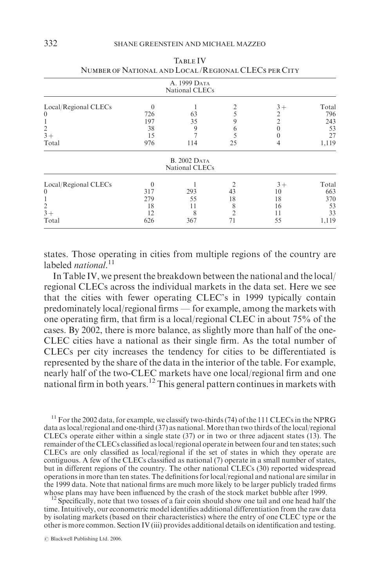|                                                                     |                               | A. 1999 DATA<br>National CLECs        |                                       |                                    |                                          |
|---------------------------------------------------------------------|-------------------------------|---------------------------------------|---------------------------------------|------------------------------------|------------------------------------------|
| Local/Regional CLECs<br>$\theta$<br>$\overline{2}$<br>$3+$<br>Total | 726<br>197<br>38<br>15<br>976 | 63<br>35<br>9<br>114                  | 9<br>25                               | $3+$<br>2<br>$\overline{c}$<br>4   | Total<br>796<br>243<br>53<br>27<br>1,119 |
|                                                                     |                               | <b>B. 2002 DATA</b><br>National CLECs |                                       |                                    |                                          |
| Local/Regional CLECs<br>$\theta$<br>$\overline{2}$<br>$3+$<br>Total | 317<br>279<br>18<br>12<br>626 | 293<br>55<br>11<br>8<br>367           | 43<br>18<br>8<br>$\overline{c}$<br>71 | $3+$<br>10<br>18<br>16<br>11<br>55 | Total<br>663<br>370<br>53<br>33<br>1,119 |

| <b>TABLE IV</b>                                      |  |
|------------------------------------------------------|--|
| NUMBER OF NATIONAL AND LOCAL/REGIONAL CLECs per City |  |

states. Those operating in cities from multiple regions of the country are labeled *national*.<sup>11</sup>

In Table IV, we present the breakdown between the national and the local/ regional CLECs across the individual markets in the data set. Here we see that the cities with fewer operating CLEC's in 1999 typically contain predominately local/regional firms — for example, among the markets with one operating firm, that firm is a local/regional CLEC in about 75% of the cases. By 2002, there is more balance, as slightly more than half of the one-CLEC cities have a national as their single firm. As the total number of CLECs per city increases the tendency for cities to be differentiated is represented by the share of the data in the interior of the table. For example, nearly half of the two-CLEC markets have one local/regional firm and one national firm in both years.<sup>12</sup> This general pattern continues in markets with

 $11$  For the 2002 data, for example, we classify two-thirds (74) of the 111 CLECs in the NPRG data as local/regional and one-third (37) as national.More than two thirds of the local/regional CLECs operate either within a single state (37) or in two or three adjacent states (13). The remainder of the CLECs classified as local/regional operate in between four and ten states; such CLECs are only classified as local/regional if the set of states in which they operate are contiguous. A few of the CLECs classified as national (7) operate in a small number of states, but in different regions of the country. The other national CLECs (30) reported widespread operations in more than ten states. The definitions for local/regional and national are similar in the 1999 data. Note that national firms are much more likely to be larger publicly traded firms whose plans may have been influenced by the crash of the stock market bubble after 1999.

 $12$  Specifically, note that two tosses of a fair coin should show one tail and one head half the time. Intuitively, our econometric model identifies additional differentiation from the raw data by isolating markets (based on their characteristics) where the entry of one CLEC type or the other is more common. Section IV (iii) provides additional details on identification and testing.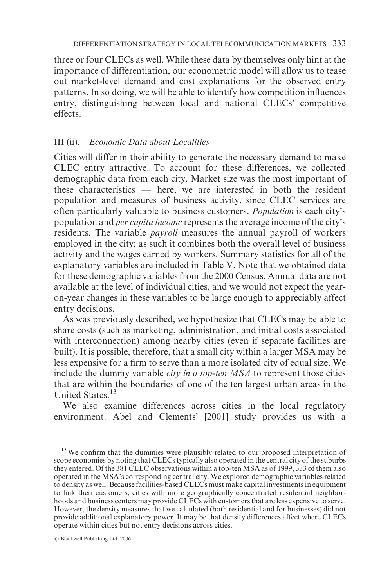three or four CLECs as well. While these data by themselves only hint at the importance of differentiation, our econometric model will allow us to tease out market-level demand and cost explanations for the observed entry patterns. In so doing, we will be able to identify how competition influences entry, distinguishing between local and national CLECs' competitive effects.

# III (ii). Economic Data about Localities

Cities will differ in their ability to generate the necessary demand to make CLEC entry attractive. To account for these differences, we collected demographic data from each city. Market size was the most important of these characteristics  $-$  here, we are interested in both the resident population and measures of business activity, since CLEC services are often particularly valuable to business customers. Population is each city's population and per capita income represents the average income of the city's residents. The variable payroll measures the annual payroll of workers employed in the city; as such it combines both the overall level of business activity and the wages earned by workers. Summary statistics for all of the explanatory variables are included in Table V. Note that we obtained data for these demographic variables from the 2000 Census. Annual data are not available at the level of individual cities, and we would not expect the yearon-year changes in these variables to be large enough to appreciably affect entry decisions.

As was previously described, we hypothesize that CLECs may be able to share costs (such as marketing, administration, and initial costs associated with interconnection) among nearby cities (even if separate facilities are built). It is possible, therefore, that a small city within a larger MSA may be less expensive for a firm to serve than a more isolated city of equal size. We include the dummy variable *city in a top-ten MSA* to represent those cities that are within the boundaries of one of the ten largest urban areas in the United States.<sup>13</sup>

We also examine differences across cities in the local regulatory environment. Abel and Clements' [2001] study provides us with a

<sup>&</sup>lt;sup>13</sup>We confirm that the dummies were plausibly related to our proposed interpretation of scope economies by noting that CLECs typically also operated in the central city of the suburbs they entered. Of the 381 CLEC observations within a top-ten MSA as of 1999, 333 of them also operated in the MSA's corresponding central city. We explored demographic variables related to density as well. Because facilities-based CLECs must make capital investments in equipment to link their customers, cities with more geographically concentrated residential neighborhoods and business centers may provide CLECs with customers that are less expensive to serve. However, the density measures that we calculated (both residential and for businesses) did not provide additional explanatory power. It may be that density differences affect where CLECs operate within cities but not entry decisions across cities.

 $\circ$  Blackwell Publishing Ltd. 2006.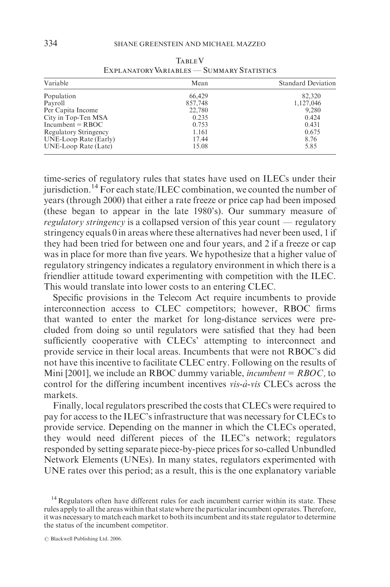| Variable                     | Mean    | <b>Standard Deviation</b> |
|------------------------------|---------|---------------------------|
| Population                   | 66.429  | 82,320                    |
| Payroll                      | 857,748 | 1,127,046                 |
| Per Capita Income            | 22,780  | 9,280                     |
| City in Top-Ten MSA          | 0.235   | 0.424                     |
| $Incumbent = RBOC$           | 0.753   | 0.431                     |
| <b>Regulatory Stringency</b> | 1.161   | 0.675                     |
| UNE-Loop Rate (Early)        | 17.44   | 8.76                      |
| UNE-Loop Rate (Late)         | 15.08   | 5.85                      |

**TABLEV** EXPLANATORY VARIABLES - SUMMARY STATISTICS

time-series of regulatory rules that states have used on ILECs under their jurisdiction.<sup>14</sup> For each state/ILEC combination, we counted the number of years (through 2000) that either a rate freeze or price cap had been imposed (these began to appear in the late 1980's). Our summary measure of *regulatory stringency* is a collapsed version of this year count  $-$  regulatory stringency equals 0 in areas where these alternatives had never been used, 1 if they had been tried for between one and four years, and 2 if a freeze or cap was in place for more than five years. We hypothesize that a higher value of regulatory stringency indicates a regulatory environment in which there is a friendlier attitude toward experimenting with competition with the ILEC. This would translate into lower costs to an entering CLEC.

Specific provisions in the Telecom Act require incumbents to provide interconnection access to CLEC competitors; however, RBOC firms that wanted to enter the market for long-distance services were precluded from doing so until regulators were satisfied that they had been sufficiently cooperative with CLECs' attempting to interconnect and provide service in their local areas. Incumbents that were not RBOC's did not have this incentive to facilitate CLEC entry. Following on the results of Mini [2001], we include an RBOC dummy variable, *incumbent* =  $RBOC$ , to control for the differing incumbent incentives  $vis-\hat{a}-vis$  CLECs across the markets.

Finally, local regulators prescribed the costs that CLECs were required to pay for access to the ILEC's infrastructure that was necessary for CLECs to provide service. Depending on the manner in which the CLECs operated, they would need different pieces of the ILEC's network; regulators responded by setting separate piece-by-piece prices for so-called Unbundled Network Elements (UNEs). In many states, regulators experimented with UNE rates over this period; as a result, this is the one explanatory variable

<sup>&</sup>lt;sup>14</sup> Regulators often have different rules for each incumbent carrier within its state. These rules apply to all the areas within that state where the particular incumbent operates. Therefore, it was necessary to match each market to both its incumbent and its state regulator to determine the status of the incumbent competitor.

C Blackwell Publishing Ltd. 2006.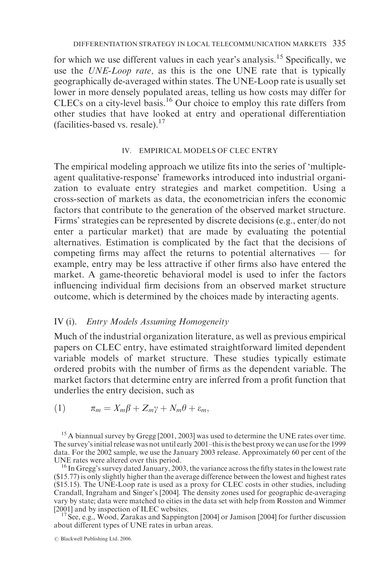for which we use different values in each year's analysis.<sup>15</sup> Specifically, we use the UNE-Loop rate, as this is the one UNE rate that is typically geographically de-averaged within states. The UNE-Loop rate is usually set lower in more densely populated areas, telling us how costs may differ for CLECs on a city-level basis.<sup>16</sup> Our choice to employ this rate differs from other studies that have looked at entry and operational differentiation (facilities-based vs. resale). $17$ 

#### IV. EMPIRICAL MODELS OF CLEC ENTRY

The empirical modeling approach we utilize fits into the series of 'multipleagent qualitative-response' frameworks introduced into industrial organization to evaluate entry strategies and market competition. Using a cross-section of markets as data, the econometrician infers the economic factors that contribute to the generation of the observed market structure. Firms' strategies can be represented by discrete decisions (e.g., enter/do not enter a particular market) that are made by evaluating the potential alternatives. Estimation is complicated by the fact that the decisions of competing firms may affect the returns to potential alternatives  $-$  for example, entry may be less attractive if other firms also have entered the market. A game-theoretic behavioral model is used to infer the factors influencing individual firm decisions from an observed market structure outcome, which is determined by the choices made by interacting agents.

### IV (i). Entry Models Assuming Homogeneity

Much of the industrial organization literature, as well as previous empirical papers on CLEC entry, have estimated straightforward limited dependent variable models of market structure. These studies typically estimate ordered probits with the number of firms as the dependent variable. The market factors that determine entry are inferred from a profit function that underlies the entry decision, such as

$$
(1) \qquad \pi_m = X_m \beta + Z_m \gamma + N_m \theta + \varepsilon_m,
$$

<sup>15</sup> A biannual survey by Gregg [2001, 2003] was used to determine the UNE rates over time. The survey's initial release was not until early 2001–this is the best proxy we can use for the 1999 data. For the 2002 sample, we use the January 2003 release. Approximately 60 per cent of the

 $16$  In Gregg's survey dated January, 2003, the variance across the fifty states in the lowest rate (\$15.77) is only slightly higher than the average difference between the lowest and highest rates (\$15.15). The UNE-Loop rate is used as a proxy for CLEC costs in other studies, including Crandall, Ingraham and Singer's [2004]. The density zones used for geographic de-averaging vary by state; data were matched to cities in the data set with help from Rosston and Wimmer

See, e.g., Wood, Zarakas and Sappington [2004] or Jamison [2004] for further discussion about different types of UNE rates in urban areas.

 $\circ$  Blackwell Publishing Ltd. 2006.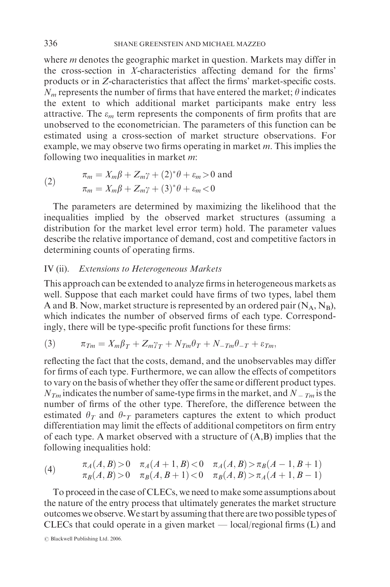where *m* denotes the geographic market in question. Markets may differ in the cross-section in X-characteristics affecting demand for the firms' products or in Z-characteristics that affect the firms' market-specific costs.  $N_m$  represents the number of firms that have entered the market;  $\theta$  indicates the extent to which additional market participants make entry less attractive. The  $\varepsilon_m$  term represents the components of firm profits that are unobserved to the econometrician. The parameters of this function can be estimated using a cross-section of market structure observations. For example, we may observe two firms operating in market  $m$ . This implies the following two inequalities in market  $m$ .

(2) 
$$
\pi_m = X_m \beta + Z_m \gamma + (2)^* \theta + \varepsilon_m > 0 \text{ and}
$$

$$
\pi_m = X_m \beta + Z_m \gamma + (3)^* \theta + \varepsilon_m < 0
$$

The parameters are determined by maximizing the likelihood that the inequalities implied by the observed market structures (assuming a distribution for the market level error term) hold. The parameter values describe the relative importance of demand, cost and competitive factors in determining counts of operating firms.

## IV (ii). Extensions to Heterogeneous Markets

This approach can be extended to analyze firms in heterogeneous markets as well. Suppose that each market could have firms of two types, label them A and B. Now, market structure is represented by an ordered pair  $(N_A, N_B)$ , which indicates the number of observed firms of each type. Correspondingly, there will be type-specific profit functions for these firms:

$$
(3) \qquad \pi_{Tm} = X_m \beta_T + Z_m \gamma_T + N_{Tm} \theta_T + N_{-Tm} \theta_{-T} + \varepsilon_{Tm},
$$

reflecting the fact that the costs, demand, and the unobservables may differ for firms of each type. Furthermore, we can allow the effects of competitors to vary on the basis of whether they offer the same or different product types.  $N_{Tm}$  indicates the number of same-type firms in the market, and  $N_{-Tm}$  is the number of firms of the other type. Therefore, the difference between the estimated  $\theta_T$  and  $\theta_{-T}$  parameters captures the extent to which product differentiation may limit the effects of additional competitors on firm entry of each type. A market observed with a structure of  $(A,B)$  implies that the following inequalities hold:

(4) 
$$
\pi_A(A, B) > 0 \quad \pi_A(A + 1, B) < 0 \quad \pi_A(A, B) > \pi_B(A - 1, B + 1)
$$

$$
\pi_B(A, B) > 0 \quad \pi_B(A, B + 1) < 0 \quad \pi_B(A, B) > \pi_A(A + 1, B - 1)
$$

To proceed in the case of CLECs, we need to make some assumptions about the nature of the entry process that ultimately generates the market structure outcomes we observe.We start by assuming that there are two possible types of CLECs that could operate in a given market  $-$  local/regional firms (L) and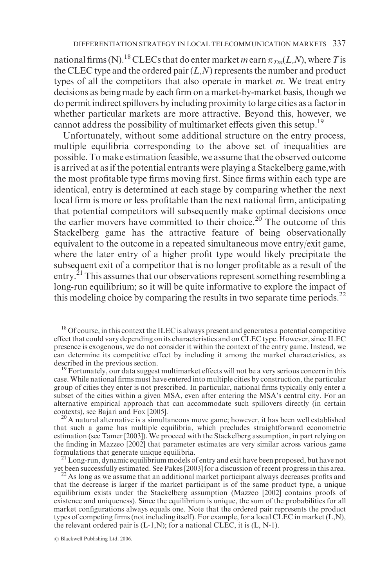national firms (N).<sup>18</sup> CLECs that do enter market *m* earn  $\pi_{Tm}(L,N)$ , where *T* is the CLEC type and the ordered pair  $(L, N)$  represents the number and product types of all the competitors that also operate in market  $m$ . We treat entry decisions as being made by each firm on a market-by-market basis, though we do permit indirect spillovers by including proximity to large cities as a factor in whether particular markets are more attractive. Beyond this, however, we cannot address the possibility of multimarket effects given this setup.<sup>19</sup>

Unfortunately, without some additional structure on the entry process, multiple equilibria corresponding to the above set of inequalities are possible. To make estimation feasible, we assume that the observed outcome is arrived at as if the potential entrants were playing a Stackelberg game,with the most profitable type firms moving first. Since firms within each type are identical, entry is determined at each stage by comparing whether the next local firm is more or less profitable than the next national firm, anticipating that potential competitors will subsequently make optimal decisions once the earlier movers have committed to their choice.<sup>20</sup> The outcome of this Stackelberg game has the attractive feature of being observationally equivalent to the outcome in a repeated simultaneous move entry/exit game, where the later entry of a higher profit type would likely precipitate the subsequent exit of a competitor that is no longer profitable as a result of the entry.<sup>21</sup> This assumes that our observations represent something resembling a long-run equilibrium; so it will be quite informative to explore the impact of this modeling choice by comparing the results in two separate time periods.<sup>22</sup>

 $18$  Of course, in this context the ILEC is always present and generates a potential competitive effect that could vary depending on its characteristics and on CLEC type. However, since ILEC presence is exogenous, we do not consider it within the context of the entry game. Instead, we can determine its competitive effect by including it among the market characteristics, as

 $^{19}$  Fortunately, our data suggest multimarket effects will not be a very serious concern in this case. While national firms must have entered into multiple cities by construction, the particular group of cities they enter is not prescribed. In particular, national firms typically only enter a subset of the cities within a given MSA, even after entering the MSA's central city. For an alternative empirical approach that can accommodate such spillovers directly (in certain contexts), see Bajari and Fox [2005].

 $^{20}$  A natural alternative is a simultaneous move game; however, it has been well established that such a game has multiple equilibria, which precludes straightforward econometric estimation (see Tamer [2003]). We proceed with the Stackelberg assumption, in part relying on the finding in Mazzeo [2002] that parameter estimates are very similar across various game

<sup>21</sup> Long-run, dynamic equilibrium models of entry and exit have been proposed, but have not yet been successfully estimated. See Pakes [2003] for a discussion of recent progress in this area.

 $^{22}$  As long as we assume that an additional market participant always decreases profits and that the decrease is larger if the market participant is of the same product type, a unique equilibrium exists under the Stackelberg assumption (Mazzeo [2002] contains proofs of existence and uniqueness). Since the equilibrium is unique, the sum of the probabilities for all market configurations always equals one. Note that the ordered pair represents the product types of competing firms (not including itself). For example, for a local CLEC in market (L,N), the relevant ordered pair is  $(L-1,N)$ ; for a national CLEC, it is  $(L, N-1)$ .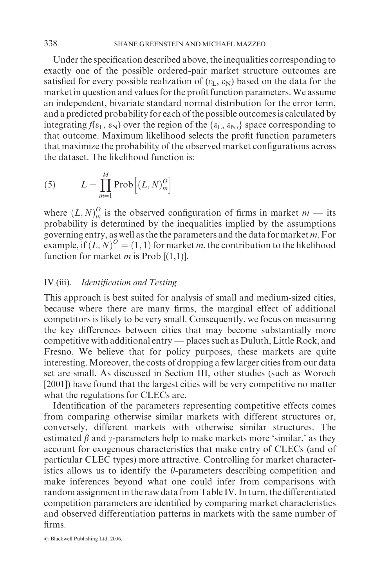Under the specification described above, the inequalities corresponding to exactly one of the possible ordered-pair market structure outcomes are satisfied for every possible realization of  $(\varepsilon_L, \varepsilon_N)$  based on the data for the market in question and values for the profit function parameters. We assume an independent, bivariate standard normal distribution for the error term, and a predicted probability for each of the possible outcomes is calculated by integrating  $f(\varepsilon_L, \varepsilon_N)$  over the region of the  $\{\varepsilon_L, \varepsilon_N\}$  space corresponding to that outcome. Maximum likelihood selects the profit function parameters that maximize the probability of the observed market configurations across the dataset. The likelihood function is:

(5) 
$$
L = \prod_{m=1}^{M} \text{Prob}\Big[ (L, N)_{m}^{O} \Big]
$$

where  $(L, N)_m^O$  is the observed configuration of firms in market  $m$  — its probability is determined by the inequalities implied by the assumptions governing entry, as well as the the parameters and the data for market m. For example, if  $(L, N)^{O} = (1, 1)$  for market m, the contribution to the likelihood function for market *m* is Prob  $[(1,1)]$ .

# IV (iii). Identification and Testing

This approach is best suited for analysis of small and medium-sized cities, because where there are many firms, the marginal effect of additional competitors is likely to be very small. Consequently, we focus on measuring the key differences between cities that may become substantially more competitive with additional entry  $\rightharpoonup$  places such as Duluth, Little Rock, and Fresno. We believe that for policy purposes, these markets are quite interesting. Moreover, the costs of dropping a few larger cities from our data set are small. As discussed in Section III, other studies (such as Woroch [2001]) have found that the largest cities will be very competitive no matter what the regulations for CLECs are.

Identification of the parameters representing competitive effects comes from comparing otherwise similar markets with different structures or, conversely, different markets with otherwise similar structures. The estimated  $\beta$  and y-parameters help to make markets more 'similar,' as they account for exogenous characteristics that make entry of CLECs (and of particular CLEC types) more attractive. Controlling for market characteristics allows us to identify the  $\theta$ -parameters describing competition and make inferences beyond what one could infer from comparisons with random assignment in the raw data from Table IV. In turn, the differentiated competition parameters are identified by comparing market characteristics and observed differentiation patterns in markets with the same number of firms.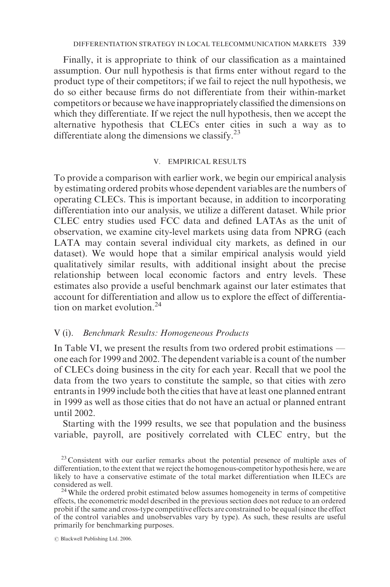Finally, it is appropriate to think of our classification as a maintained assumption. Our null hypothesis is that firms enter without regard to the product type of their competitors; if we fail to reject the null hypothesis, we do so either because firms do not differentiate from their within-market competitors or because we have inappropriately classified the dimensions on which they differentiate. If we reject the null hypothesis, then we accept the alternative hypothesis that CLECs enter cities in such a way as to differentiate along the dimensions we classify.<sup>23</sup>

#### V. EMPIRICAL RESULTS

To provide a comparison with earlier work, we begin our empirical analysis by estimating ordered probits whose dependent variables are the numbers of operating CLECs. This is important because, in addition to incorporating differentiation into our analysis, we utilize a different dataset. While prior CLEC entry studies used FCC data and defined LATAs as the unit of observation, we examine city-level markets using data from NPRG (each LATA may contain several individual city markets, as defined in our dataset). We would hope that a similar empirical analysis would yield qualitatively similar results, with additional insight about the precise relationship between local economic factors and entry levels. These estimates also provide a useful benchmark against our later estimates that account for differentiation and allow us to explore the effect of differentiation on market evolution<sup>24</sup>

## V (i). Benchmark Results: Homogeneous Products

In Table VI, we present the results from two ordered probit estimations one each for 1999 and 2002. The dependent variable is a count of the number of CLECs doing business in the city for each year. Recall that we pool the data from the two years to constitute the sample, so that cities with zero entrants in 1999 include both the cities that have at least one planned entrant in 1999 as well as those cities that do not have an actual or planned entrant until 2002.

Starting with the 1999 results, we see that population and the business variable, payroll, are positively correlated with CLEC entry, but the

<sup>&</sup>lt;sup>23</sup> Consistent with our earlier remarks about the potential presence of multiple axes of differentiation, to the extent that we reject the homogenous-competitor hypothesis here, we are likely to have a conservative estimate of the total market differentiation when ILECs are considered as well.

<sup>&</sup>lt;sup>24</sup> While the ordered probit estimated below assumes homogeneity in terms of competitive effects, the econometric model described in the previous section does not reduce to an ordered probit if the same and cross-type competitive effects are constrained to be equal (since the effect of the control variables and unobservables vary by type). As such, these results are useful primarily for benchmarking purposes.

 $\circ$  Blackwell Publishing Ltd. 2006.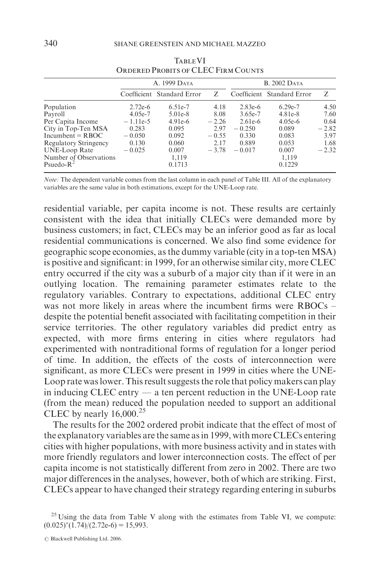|                              | A. 1999 DATA |                            |         | <b>B.</b> 2002 DATA |                            |         |
|------------------------------|--------------|----------------------------|---------|---------------------|----------------------------|---------|
|                              |              | Coefficient Standard Error | Z       |                     | Coefficient Standard Error | Z       |
| Population                   | $2.72e-6$    | $6.51e-7$                  | 4.18    | $2.83e-6$           | $6.29e-7$                  | 4.50    |
| Payroll                      | $4.05e-7$    | $5.01e-8$                  | 8.08    | 3.65e-7             | $4.81e-8$                  | 7.60    |
| Per Capita Income            | $-1.11e-5$   | $4.91e-6$                  | $-2.26$ | $2.61e-6$           | $4.05e-6$                  | 0.64    |
| City in Top-Ten MSA          | 0.283        | 0.095                      | 2.97    | $-0.250$            | 0.089                      | $-2.82$ |
| $Incumbent = RBOC$           | $-0.050$     | 0.092                      | $-0.55$ | 0.330               | 0.083                      | 3.97    |
| <b>Regulatory Stringency</b> | 0.130        | 0.060                      | 2.17    | 0.889               | 0.053                      | 1.68    |
| <b>UNE-Loop Rate</b>         | $-0.025$     | 0.007                      | $-3.78$ | $-0.017$            | 0.007                      | $-2.32$ |
| Number of Observations       |              | 1.119                      |         |                     | 1.119                      |         |
| Psuedo- $R^2$                |              | 0.1713                     |         |                     | 0.1229                     |         |

**TABLEVI** Ordered Probits of CLEC Firm Counts

Note: The dependent variable comes from the last column in each panel of Table III. All of the explanatory variables are the same value in both estimations, except for the UNE-Loop rate.

residential variable, per capita income is not. These results are certainly consistent with the idea that initially CLECs were demanded more by business customers; in fact, CLECs may be an inferior good as far as local residential communications is concerned. We also find some evidence for geographic scope economies, as the dummy variable (city in a top-ten MSA) is positive and significant: in 1999, for an otherwise similar city, more CLEC entry occurred if the city was a suburb of a major city than if it were in an outlying location. The remaining parameter estimates relate to the regulatory variables. Contrary to expectations, additional CLEC entry was not more likely in areas where the incumbent firms were RBOCs – despite the potential benefit associated with facilitating competition in their service territories. The other regulatory variables did predict entry as expected, with more firms entering in cities where regulators had experimented with nontraditional forms of regulation for a longer period of time. In addition, the effects of the costs of interconnection were significant, as more CLECs were present in 1999 in cities where the UNE-Loop rate was lower. This result suggests the role that policy makers can play in inducing CLEC entry  $\overline{\phantom{C}}$  a ten percent reduction in the UNE-Loop rate (from the mean) reduced the population needed to support an additional CLEC by nearly  $16,000.<sup>25</sup>$ 

The results for the 2002 ordered probit indicate that the effect of most of the explanatory variables are the same as in 1999, with more CLECs entering cities with higher populations, with more business activity and in states with more friendly regulators and lower interconnection costs. The effect of per capita income is not statistically different from zero in 2002. There are two major differences in the analyses, however, both of which are striking. First, CLECs appear to have changed their strategy regarding entering in suburbs

 $25$  Using the data from Table V along with the estimates from Table VI, we compute:  $(0.025)^*(1.74)/(2.72e-6) = 15,993.$ 

 $\odot$  Blackwell Publishing Ltd. 2006.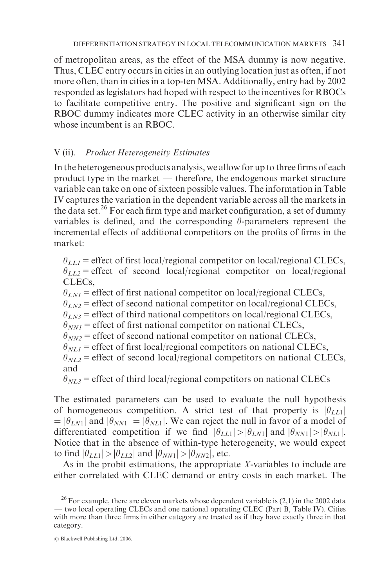of metropolitan areas, as the effect of the MSA dummy is now negative. Thus, CLEC entry occurs in cities in an outlying location just as often, if not more often, than in cities in a top-ten MSA. Additionally, entry had by 2002 responded as legislators had hoped with respect to the incentives for RBOCs to facilitate competitive entry. The positive and significant sign on the RBOC dummy indicates more CLEC activity in an otherwise similar city whose incumbent is an RBOC.

# V (ii). Product Heterogeneity Estimates

In the heterogeneous products analysis, we allow for up to three firms of each product type in the market  $-$  therefore, the endogenous market structure variable can take on one of sixteen possible values. The information in Table IV captures the variation in the dependent variable across all the markets in the data set.<sup>26</sup> For each firm type and market configuration, a set of dummy variables is defined, and the corresponding  $\theta$ -parameters represent the incremental effects of additional competitors on the profits of firms in the market:

 $\theta_{LL}$  = effect of first local/regional competitor on local/regional CLECs,  $\theta_{LL2}$  = effect of second local/regional competitor on local/regional CLECs,

 $\theta_{LNI}$  = effect of first national competitor on local/regional CLECs,  $\theta_{LN2}$  = effect of second national competitor on local/regional CLECs,  $\theta_{LN3}$  = effect of third national competitors on local/regional CLECs,  $\theta_{NNI}$  = effect of first national competitor on national CLECs,  $\theta_{NN2}$  = effect of second national competitor on national CLECs,  $\theta_{NLI}$  = effect of first local/regional competitors on national CLECs,  $\theta_{NL2}$  = effect of second local/regional competitors on national CLECs, and

 $\theta_{NL3}$  = effect of third local/regional competitors on national CLECs

The estimated parameters can be used to evaluate the null hypothesis of homogeneous competition. A strict test of that property is  $|\theta_{LL1}|$  $= |\theta_{LN1}|$  and  $|\theta_{NN1}| = |\theta_{NL1}|$ . We can reject the null in favor of a model of differentiated competition if we find  $|\theta_{LL1}| > |\theta_{LN1}|$  and  $|\theta_{NN1}| > |\theta_{NL1}|$ . Notice that in the absence of within-type heterogeneity, we would expect to find  $|\theta_{LL1}| > |\theta_{LL2}|$  and  $|\theta_{NN1}| > |\theta_{NN2}|$ , etc.

As in the probit estimations, the appropriate X-variables to include are either correlated with CLEC demand or entry costs in each market. The

<sup>&</sup>lt;sup>26</sup> For example, there are eleven markets whose dependent variable is  $(2,1)$  in the 2002 data - two local operating CLECs and one national operating CLEC (Part B, Table IV). Cities with more than three firms in either category are treated as if they have exactly three in that category.

 $\circ$  Blackwell Publishing Ltd. 2006.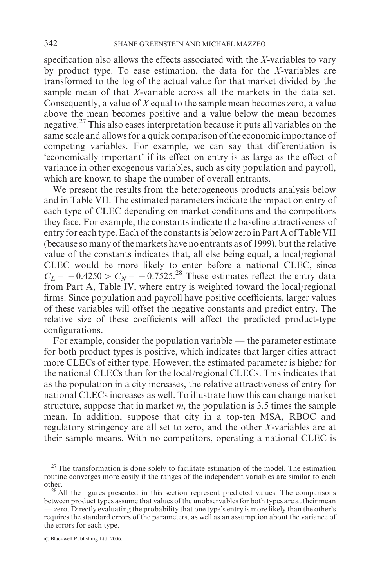specification also allows the effects associated with the X-variables to vary by product type. To ease estimation, the data for the X-variables are transformed to the log of the actual value for that market divided by the sample mean of that X-variable across all the markets in the data set. Consequently, a value of  $X$  equal to the sample mean becomes zero, a value above the mean becomes positive and a value below the mean becomes negative.<sup>27</sup> This also eases interpretation because it puts all variables on the same scale and allows for a quick comparison of the economic importance of competing variables. For example, we can say that differentiation is 'economically important' if its effect on entry is as large as the effect of variance in other exogenous variables, such as city population and payroll, which are known to shape the number of overall entrants.

We present the results from the heterogeneous products analysis below and in Table VII. The estimated parameters indicate the impact on entry of each type of CLEC depending on market conditions and the competitors they face. For example, the constants indicate the baseline attractiveness of entry for each type. Each of the constants is below zero in Part A of Table VII (because so many of the markets have no entrants as of 1999), but the relative value of the constants indicates that, all else being equal, a local/regional CLEC would be more likely to enter before a national CLEC, since  $C_L = -0.4250 > C_N = -0.7525^{28}$  These estimates reflect the entry data from Part A, Table IV, where entry is weighted toward the local/regional firms. Since population and payroll have positive coefficients, larger values of these variables will offset the negative constants and predict entry. The relative size of these coefficients will affect the predicted product-type configurations.

For example, consider the population variable  $-$  the parameter estimate for both product types is positive, which indicates that larger cities attract more CLECs of either type. However, the estimated parameter is higher for the national CLECs than for the local/regional CLECs. This indicates that as the population in a city increases, the relative attractiveness of entry for national CLECs increases as well. To illustrate how this can change market structure, suppose that in market  $m$ , the population is 3.5 times the sample mean. In addition, suppose that city in a top-ten MSA, RBOC and regulatory stringency are all set to zero, and the other X-variables are at their sample means. With no competitors, operating a national CLEC is

 $27$ The transformation is done solely to facilitate estimation of the model. The estimation routine converges more easily if the ranges of the independent variables are similar to each other. <sup>28</sup> All the figures presented in this section represent predicted values. The comparisons

between product types assume that values of the unobservables for both types are at their mean - zero. Directly evaluating the probability that one type's entry is more likely than the other's requires the standard errors of the parameters, as well as an assumption about the variance of the errors for each type.

C Blackwell Publishing Ltd. 2006.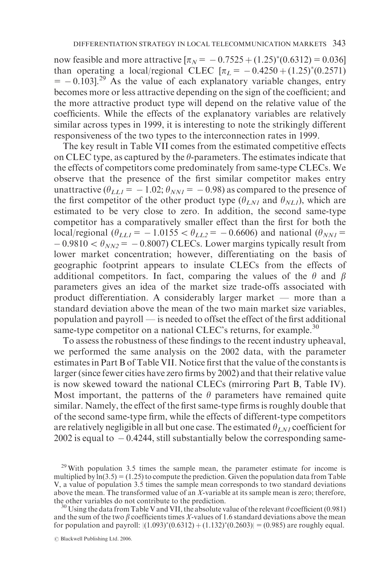now feasible and more attractive  $[\pi_N = -0.7525 + (1.25)^*(0.6312) = 0.036]$ than operating a local/regional CLEC  $[\pi_L = -0.4250 + (1.25)^*(0.2571)]$  $= -0.103$ ]<sup>29</sup> As the value of each explanatory variable changes, entry becomes more or less attractive depending on the sign of the coefficient; and the more attractive product type will depend on the relative value of the coefficients. While the effects of the explanatory variables are relatively similar across types in 1999, it is interesting to note the strikingly different responsiveness of the two types to the interconnection rates in 1999.

The key result in Table VII comes from the estimated competitive effects on CLEC type, as captured by the  $\theta$ -parameters. The estimates indicate that the effects of competitors come predominately from same-type CLECs. We observe that the presence of the first similar competitor makes entry unattractive ( $\theta_{LL1}$  = -1.02;  $\theta_{NN1}$  = -0.98) as compared to the presence of the first competitor of the other product type  $(\theta_{LNI})$  and  $\theta_{NLI}$ , which are estimated to be very close to zero. In addition, the second same-type competitor has a comparatively smaller effect than the first for both the local/regional ( $\theta_{LLL}$  = -1.0155 <  $\theta_{LL2}$  = -0.6606) and national ( $\theta_{NN1}$  =  $-0.9810 < \theta_{NN2} = -0.8007$  CLECs. Lower margins typically result from lower market concentration; however, differentiating on the basis of geographic footprint appears to insulate CLECs from the effects of additional competitors. In fact, comparing the values of the  $\theta$  and  $\beta$ parameters gives an idea of the market size trade-offs associated with product differentiation. A considerably larger market  $-$  more than a standard deviation above the mean of the two main market size variables, population and payroll  $\overline{\phantom{a}}$  is needed to offset the effect of the first additional same-type competitor on a national CLEC's returns, for example.<sup>30</sup>

To assess the robustness of these findings to the recent industry upheaval, we performed the same analysis on the 2002 data, with the parameter estimates in Part B of Table VII. Notice first that the value of the constants is larger (since fewer cities have zero firms by 2002) and that their relative value is now skewed toward the national CLECs (mirroring Part B, Table IV). Most important, the patterns of the  $\theta$  parameters have remained quite similar. Namely, the effect of the first same-type firms is roughly double that of the second same-type firm, while the effects of different-type competitors are relatively negligible in all but one case. The estimated  $\theta_{LN}$  coefficient for  $2002$  is equal to  $-0.4244$ , still substantially below the corresponding same-

 $29$  With population 3.5 times the sample mean, the parameter estimate for income is multiplied by  $\ln(3.5) = (1.25)$  to compute the prediction. Given the population data from Table V, a value of population 3.5 times the sample mean corresponds to two standard deviations above the mean. The transformed value of an  $X$ -variable at its sample mean is zero; therefore, the other variables do not contribute to the prediction.

<sup>&</sup>lt;sup>30</sup> Using the data from Table V and VII, the absolute value of the relevant  $\theta$  coefficient (0.981) and the sum of the two  $\beta$  coefficients times X-values of 1.6 standard deviations above the mean for population and payroll:  $|(1.093)^*(0.6312) + (1.132)^*(0.2603)| = (0.985)$  are roughly equal.

 $\circ$  Blackwell Publishing Ltd. 2006.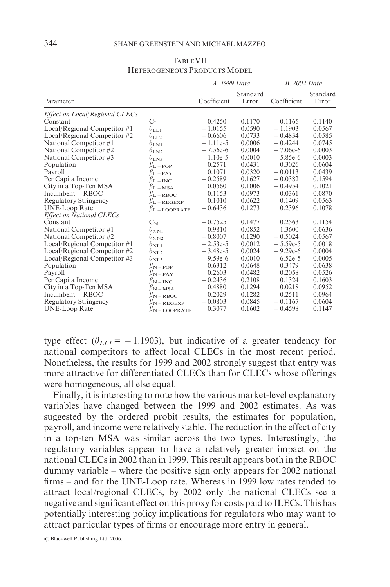|                                            |                                  | A. 1999 Data |                   | <b>B.</b> 2002 Data |                   |
|--------------------------------------------|----------------------------------|--------------|-------------------|---------------------|-------------------|
| Parameter                                  |                                  | Coefficient  | Standard<br>Error | Coefficient         | Standard<br>Error |
| Effect on Local/Regional CLECs<br>Constant | $C_{L}$                          | $-0.4250$    | 0.1170            | 0.1165              | 0.1140            |
| Local/Regional Competitor $\#1$            | $\theta_{\rm LL1}$               | $-1.0155$    | 0.0590            | $-1.1903$           | 0.0567            |
| Local/Regional Competitor $#2$             | $\theta_{\rm LL2}$               | $-0.6606$    | 0.0733            | $-0.4834$           | 0.0585            |
| National Competitor #1                     | $\theta_{\rm LM1}$               | $-1.11e-5$   | 0.0006            | $-0.4244$           | 0.0745            |
| National Competitor #2                     | $\theta_{LN2}$                   | $-7.56e-6$   | 0.0004            | $-7.06e-6$          | 0.0003            |
| National Competitor #3                     | $\theta_{\rm LN3}$               | $-1.10e-5$   | 0.0010            | $-5.85e-6$          | 0.0003            |
| Population                                 | $\beta_{\rm L-POP}$              | 0.2571       | 0.0431            | 0.3026              | 0.0604            |
| Payroll                                    | $\beta_{\mathrm{L-PAY}}$         | 0.1071       | 0.0320            | $-0.0113$           | 0.0439            |
| Per Capita Income                          | $\beta_{\text{L}-\text{INC}}$    | $-0.2589$    | 0.1627            | $-0.0382$           | 0.1594            |
| City in a Top-Ten MSA                      | $\beta_{\text{L}-\text{MSA}}$    | 0.0560       | 0.1006            | $-0.4954$           | 0.1021            |
| $Incumbent = RBOC$                         | $\beta_{\text{L}-\text{RBOC}}$   | $-0.1153$    | 0.0973            | 0.0361              | 0.0870            |
| <b>Regulatory Stringency</b>               | $\beta_{\text{L}-\text{REGEXP}}$ | 0.1010       | 0.0622            | 0.1409              | 0.0563            |
| <b>UNE-Loop Rate</b>                       |                                  | $-0.6436$    | 0.1273            | 0.2396              | 0.1078            |
| <b>Effect on National CLECs</b>            | $\beta_{\rm L-LOOPRATE}$         |              |                   |                     |                   |
| Constant                                   | $C_{\rm N}$                      | $-0.7525$    | 0.1477            | 0.2563              | 0.1154            |
| National Competitor #1                     | $\theta_{\rm NN1}$               | $-0.9810$    | 0.0852            | $-1.3600$           | 0.0636            |
| National Competitor #2                     | $\theta_{NN2}$                   | $-0.8007$    | 0.1290            | $-0.5024$           | 0.0567            |
| Local/Regional Competitor #1               | $\theta_{\rm NL1}$               | $-2.53e-5$   | 0.0012            | $-5.59e-5$          | 0.0018            |
| Local/Regional Competitor $#2$             | $\theta_{\rm NL2}$               | $-3.48e-5$   | 0.0024            | $-9.29e-6$          | 0.0004            |
| Local/Regional Competitor $\#3$            | $\theta_{\rm NL3}$               | $-9.59e-6$   | 0.0010            | $-6.52e-5$          | 0.0005            |
| Population                                 | $\beta_{\text{N}-\text{POP}}$    | 0.6312       | 0.0648            | 0.3479              | 0.0638            |
| Payroll                                    | $\beta_{N-PAY}$                  | 0.2603       | 0.0482            | 0.2058              | 0.0526            |
| Per Capita Income                          | $\beta_{\rm N-INC}$              | $-0.2436$    | 0.2108            | 0.1324              | 0.1603            |
| City in a Top-Ten MSA                      | $\beta_{\rm N-MSA}$              | 0.4880       | 0.1294            | 0.0218              | 0.0952            |
| $Incumbent = RBOC$                         | $\beta_{\text{N}-\text{RBOC}}$   | $-0.2029$    | 0.1282            | 0.2511              | 0.0964            |
| Regulatory Stringency                      | $\beta_{\text{N}-\text{REGEXP}}$ | $-0.0803$    | 0.0845            | $-0.1167$           | 0.0604            |
| <b>UNE-Loop Rate</b>                       | $\beta_{\rm N-LOOPRATE}$         | 0.3077       | 0.1602            | $-0.4598$           | 0.1147            |

**TABLEVII** Heterogeneous Products Model

type effect  $(\theta_{LL1} = -1.1903)$ , but indicative of a greater tendency for national competitors to affect local CLECs in the most recent period. Nonetheless, the results for 1999 and 2002 strongly suggest that entry was more attractive for differentiated CLECs than for CLECs whose offerings were homogeneous, all else equal.

Finally, it is interesting to note how the various market-level explanatory variables have changed between the 1999 and 2002 estimates. As was suggested by the ordered probit results, the estimates for population, payroll, and income were relatively stable. The reduction in the effect of city in a top-ten MSA was similar across the two types. Interestingly, the regulatory variables appear to have a relatively greater impact on the national CLECs in 2002 than in 1999. This result appears both in the RBOC dummy variable – where the positive sign only appears for 2002 national firms – and for the UNE-Loop rate. Whereas in 1999 low rates tended to attract local/regional CLECs, by 2002 only the national CLECs see a negative and significant effect on this proxy for costs paid to ILECs. This has potentially interesting policy implications for regulators who may want to attract particular types of firms or encourage more entry in general.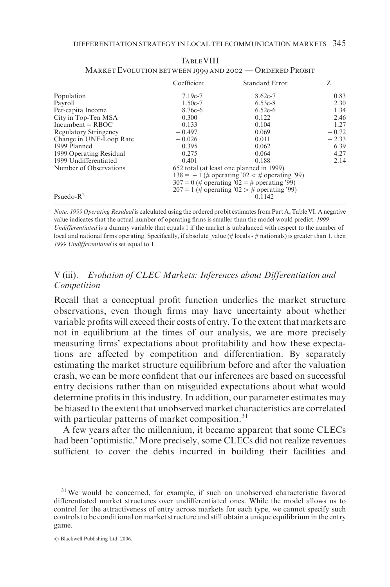|                         | Coefficient | <b>Standard Error</b>                                                                                                                                                                        | Z       |
|-------------------------|-------------|----------------------------------------------------------------------------------------------------------------------------------------------------------------------------------------------|---------|
| Population              | 7.19e-7     | 8.62e-7                                                                                                                                                                                      | 0.83    |
| Payroll                 | 1.50e-7     | $6.53e-8$                                                                                                                                                                                    | 2.30    |
| Per-capita Income       | 8.76e-6     | $6.52e-6$                                                                                                                                                                                    | 1.34    |
| City in Top-Ten MSA     | $-0.300$    | 0.122                                                                                                                                                                                        | $-2.46$ |
| $Incumbent = RBOC$      | 0.133       | 0.104                                                                                                                                                                                        | 1.27    |
| Regulatory Stringency   | $-0.497$    | 0.069                                                                                                                                                                                        | $-0.72$ |
| Change in UNE-Loop Rate | $-0.026$    | 0.011                                                                                                                                                                                        | $-2.33$ |
| 1999 Planned            | 0.395       | 0.062                                                                                                                                                                                        | 6.39    |
| 1999 Operating Residual | $-0.275$    | 0.064                                                                                                                                                                                        | $-4.27$ |
| 1999 Undifferentiated   | $-0.401$    | 0.188                                                                                                                                                                                        | $-2.14$ |
| Number of Observations  |             | 652 total (at least one planned in 1999)<br>$138 = -1$ (# operating '02 < # operating '99)<br>$307 = 0$ (# operating '02 = # operating '99)<br>$207 = 1$ (# operating '02 > # operating '99) |         |
| Psuedo- $R^2$           |             | 0.1142                                                                                                                                                                                       |         |

| <b>TABLEVIII</b>                                          |
|-----------------------------------------------------------|
| MARKET EVOLUTION BETWEEN 1999 AND 2002 $-$ Ordered Probit |

Note: 1999 Operating Residual is calculated using the ordered probit estimates from Part A, Table VI. A negative value indicates that the actual number of operating firms is smaller than the model would predict. 1999 Undifferentiated is a dummy variable that equals 1 if the market is unbalanced with respect to the number of local and national firms operating. Specifically, if absolute value (# locals - # nationals) is greater than 1, then 1999 Undifferentiated is set equal to 1.

# V (iii). Evolution of CLEC Markets: Inferences about Differentiation and Competition

Recall that a conceptual profit function underlies the market structure observations, even though firms may have uncertainty about whether variable profits will exceed their costs of entry. To the extent that markets are not in equilibrium at the times of our analysis, we are more precisely measuring firms' expectations about profitability and how these expectations are affected by competition and differentiation. By separately estimating the market structure equilibrium before and after the valuation crash, we can be more confident that our inferences are based on successful entry decisions rather than on misguided expectations about what would determine profits in this industry. In addition, our parameter estimates may be biased to the extent that unobserved market characteristics are correlated with particular patterns of market composition.<sup>31</sup>

A few years after the millennium, it became apparent that some CLECs had been 'optimistic.' More precisely, some CLECs did not realize revenues sufficient to cover the debts incurred in building their facilities and

<sup>&</sup>lt;sup>31</sup>We would be concerned, for example, if such an unobserved characteristic favored differentiated market structures over undifferentiated ones. While the model allows us to control for the attractiveness of entry across markets for each type, we cannot specify such controls to be conditional on market structure and still obtain a unique equilibrium in the entry game.

 $\circ$  Blackwell Publishing Ltd. 2006.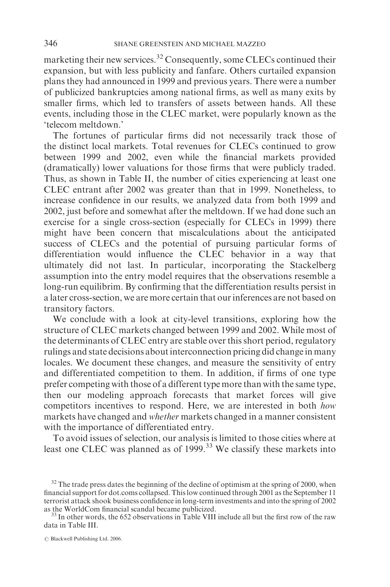marketing their new services.<sup>32</sup> Consequently, some CLECs continued their expansion, but with less publicity and fanfare. Others curtailed expansion plans they had announced in 1999 and previous years. There were a number of publicized bankruptcies among national firms, as well as many exits by smaller firms, which led to transfers of assets between hands. All these events, including those in the CLEC market, were popularly known as the 'telecom meltdown.'

The fortunes of particular firms did not necessarily track those of the distinct local markets. Total revenues for CLECs continued to grow between 1999 and 2002, even while the financial markets provided (dramatically) lower valuations for those firms that were publicly traded. Thus, as shown in Table II, the number of cities experiencing at least one CLEC entrant after 2002 was greater than that in 1999. Nonetheless, to increase confidence in our results, we analyzed data from both 1999 and 2002, just before and somewhat after the meltdown. If we had done such an exercise for a single cross-section (especially for CLECs in 1999) there might have been concern that miscalculations about the anticipated success of CLECs and the potential of pursuing particular forms of differentiation would influence the CLEC behavior in a way that ultimately did not last. In particular, incorporating the Stackelberg assumption into the entry model requires that the observations resemble a long-run equilibrim. By confirming that the differentiation results persist in a later cross-section, we are more certain that our inferences are not based on transitory factors.

We conclude with a look at city-level transitions, exploring how the structure of CLEC markets changed between 1999 and 2002. While most of the determinants of CLEC entry are stable over this short period, regulatory rulings and state decisions about interconnection pricing did change in many locales. We document these changes, and measure the sensitivity of entry and differentiated competition to them. In addition, if firms of one type prefer competing with those of a different type more than with the same type, then our modeling approach forecasts that market forces will give competitors incentives to respond. Here, we are interested in both how markets have changed and whether markets changed in a manner consistent with the importance of differentiated entry.

To avoid issues of selection, our analysis is limited to those cities where at least one CLEC was planned as of 1999.<sup>33</sup> We classify these markets into

 $32$  The trade press dates the beginning of the decline of optimism at the spring of 2000, when financial support for dot.coms collapsed. This low continued through 2001 as the September 11 terrorist attack shook business confidence in long-term investments and into the spring of 2002

 $33$  In other words, the 652 observations in Table VIII include all but the first row of the raw data in Table III.

C Blackwell Publishing Ltd. 2006.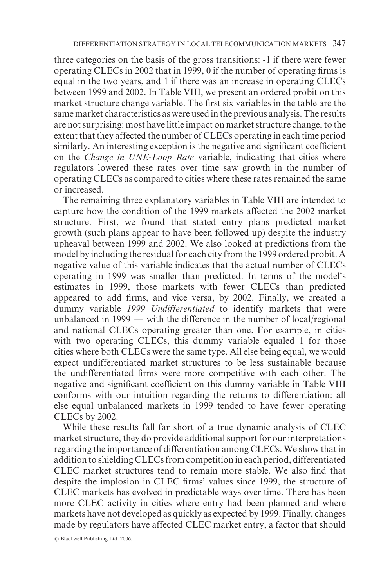three categories on the basis of the gross transitions: -1 if there were fewer operating CLECs in 2002 that in 1999, 0 if the number of operating firms is equal in the two years, and 1 if there was an increase in operating CLECs between 1999 and 2002. In Table VIII, we present an ordered probit on this market structure change variable. The first six variables in the table are the same market characteristics as were used in the previous analysis. The results are not surprising: most have little impact on market structure change, to the extent that they affected the number of CLECs operating in each time period similarly. An interesting exception is the negative and significant coefficient on the Change in UNE-Loop Rate variable, indicating that cities where regulators lowered these rates over time saw growth in the number of operating CLECs as compared to cities where these rates remained the same or increased.

The remaining three explanatory variables in Table VIII are intended to capture how the condition of the 1999 markets affected the 2002 market structure. First, we found that stated entry plans predicted market growth (such plans appear to have been followed up) despite the industry upheaval between 1999 and 2002. We also looked at predictions from the model by including the residual for each city from the 1999 ordered probit. A negative value of this variable indicates that the actual number of CLECs operating in 1999 was smaller than predicted. In terms of the model's estimates in 1999, those markets with fewer CLECs than predicted appeared to add firms, and vice versa, by 2002. Finally, we created a dummy variable 1999 Undifferentiated to identify markets that were unbalanced in  $1999$  — with the difference in the number of local/regional and national CLECs operating greater than one. For example, in cities with two operating CLECs, this dummy variable equaled 1 for those cities where both CLECs were the same type. All else being equal, we would expect undifferentiated market structures to be less sustainable because the undifferentiated firms were more competitive with each other. The negative and significant coefficient on this dummy variable in Table VIII conforms with our intuition regarding the returns to differentiation: all else equal unbalanced markets in 1999 tended to have fewer operating CLECs by 2002.

While these results fall far short of a true dynamic analysis of CLEC market structure, they do provide additional support for our interpretations regarding the importance of differentiation among CLECs. We show that in addition to shielding CLECs from competition in each period, differentiated CLEC market structures tend to remain more stable. We also find that despite the implosion in CLEC firms' values since 1999, the structure of CLEC markets has evolved in predictable ways over time. There has been more CLEC activity in cities where entry had been planned and where markets have not developed as quickly as expected by 1999. Finally, changes made by regulators have affected CLEC market entry, a factor that should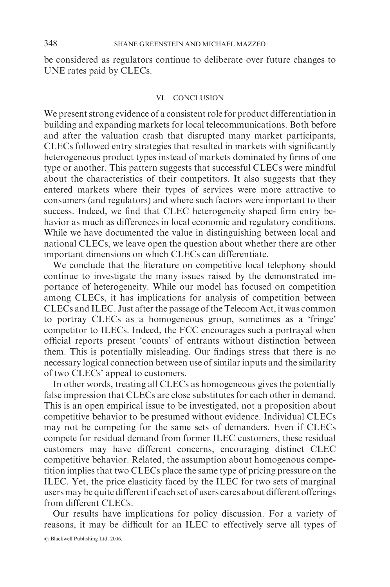be considered as regulators continue to deliberate over future changes to UNE rates paid by CLECs.

#### VI. CONCLUSION

We present strong evidence of a consistent role for product differentiation in building and expanding markets for local telecommunications. Both before and after the valuation crash that disrupted many market participants, CLECs followed entry strategies that resulted in markets with significantly heterogeneous product types instead of markets dominated by firms of one type or another. This pattern suggests that successful CLECs were mindful about the characteristics of their competitors. It also suggests that they entered markets where their types of services were more attractive to consumers (and regulators) and where such factors were important to their success. Indeed, we find that CLEC heterogeneity shaped firm entry behavior as much as differences in local economic and regulatory conditions. While we have documented the value in distinguishing between local and national CLECs, we leave open the question about whether there are other important dimensions on which CLECs can differentiate.

We conclude that the literature on competitive local telephony should continue to investigate the many issues raised by the demonstrated importance of heterogeneity. While our model has focused on competition among CLECs, it has implications for analysis of competition between CLECs and ILEC. Just after the passage of the Telecom Act, it was common to portray CLECs as a homogeneous group, sometimes as a 'fringe' competitor to ILECs. Indeed, the FCC encourages such a portrayal when official reports present 'counts' of entrants without distinction between them. This is potentially misleading. Our findings stress that there is no necessary logical connection between use of similar inputs and the similarity of two CLECs' appeal to customers.

In other words, treating all CLECs as homogeneous gives the potentially false impression that CLECs are close substitutes for each other in demand. This is an open empirical issue to be investigated, not a proposition about competitive behavior to be presumed without evidence. Individual CLECs may not be competing for the same sets of demanders. Even if CLECs compete for residual demand from former ILEC customers, these residual customers may have different concerns, encouraging distinct CLEC competitive behavior. Related, the assumption about homogenous competition implies that two CLECs place the same type of pricing pressure on the ILEC. Yet, the price elasticity faced by the ILEC for two sets of marginal users may be quite different if each set of users cares about different offerings from different CLECs.

Our results have implications for policy discussion. For a variety of reasons, it may be difficult for an ILEC to effectively serve all types of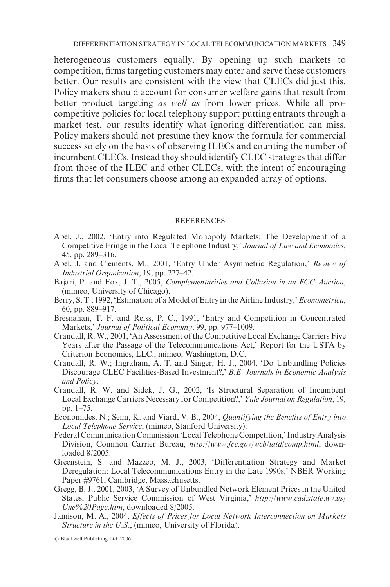heterogeneous customers equally. By opening up such markets to competition, firms targeting customers may enter and serve these customers better. Our results are consistent with the view that CLECs did just this. Policy makers should account for consumer welfare gains that result from better product targeting as well as from lower prices. While all procompetitive policies for local telephony support putting entrants through a market test, our results identify what ignoring differentiation can miss. Policy makers should not presume they know the formula for commercial success solely on the basis of observing ILECs and counting the number of incumbent CLECs. Instead they should identify CLEC strategies that differ from those of the ILEC and other CLECs, with the intent of encouraging firms that let consumers choose among an expanded array of options.

#### **REFERENCES**

- Abel, J., 2002, 'Entry into Regulated Monopoly Markets: The Development of a Competitive Fringe in the Local Telephone Industry,' Journal of Law and Economics, 45, pp. 289–316.
- Abel, J. and Clements, M., 2001, 'Entry Under Asymmetric Regulation,' Review of Industrial Organization, 19, pp. 227–42.
- Bajari, P. and Fox, J. T., 2005, *Complementarities and Collusion in an FCC Auction*, (mimeo, University of Chicago).
- Berry, S. T., 1992, 'Estimation of a Model of Entry in the Airline Industry,' Econometrica, 60, pp. 889–917.
- Bresnahan, T. F. and Reiss, P. C., 1991, 'Entry and Competition in Concentrated Markets,' Journal of Political Economy, 99, pp. 977–1009.
- Crandall, R. W., 2001, 'An Assessment of the Competitive Local Exchange Carriers Five Years after the Passage of the Telecommunications Act,' Report for the USTA by Criterion Economics, LLC., mimeo, Washington, D.C.
- Crandall, R. W.; Ingraham, A. T. and Singer, H. J., 2004, 'Do Unbundling Policies Discourage CLEC Facilities-Based Investment?,' B.E. Journals in Economic Analysis and Policy.
- Crandall, R. W. and Sidek, J. G., 2002, 'Is Structural Separation of Incumbent Local Exchange Carriers Necessary for Competition?,' Yale Journal on Regulation, 19, pp. 1–75.
- Economides, N.; Seim, K. and Viard, V. B., 2004, Quantifying the Benefits of Entry into Local Telephone Service, (mimeo, Stanford University).
- Federal Communication Commission 'Local Telephone Competition,' Industry Analysis Division, Common Carrier Bureau, http://www.fcc.gov/wcb/iatd/comp.html, downloaded 8/2005.
- Greenstein, S. and Mazzeo, M. J., 2003, 'Differentiation Strategy and Market Deregulation: Local Telecommunications Entry in the Late 1990s,' NBER Working Paper #9761, Cambridge, Massachusetts.
- Gregg, B. J., 2001, 2003, 'A Survey of Unbundled Network Element Prices in the United States, Public Service Commission of West Virginia,' http://www.cad.state.wv.us/ Une%20Page.htm, downloaded 8/2005.
- Jamison, M. A., 2004, Effects of Prices for Local Network Interconnection on Markets Structure in the U.S., (mimeo, University of Florida).

 $\circ$  Blackwell Publishing Ltd. 2006.